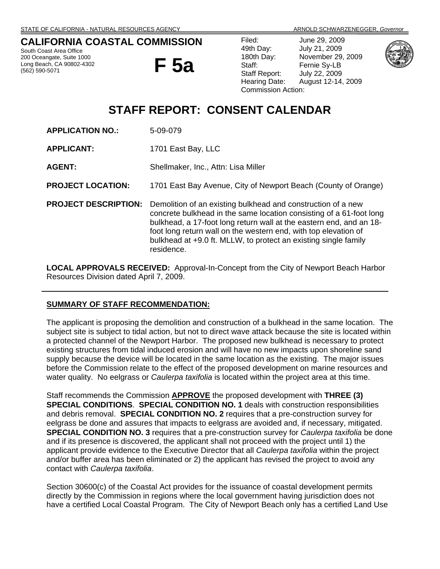## **CALIFORNIA COASTAL COMMISSION**

South Coast Area Office 200 Oceangate, Suite 1000 Long Beach, CA 90802-4302 (562) 590-5071

**F 5a** 

Filed: June 29, 2009 49th Day: July 21, 2009 180th Day: November 29, 2009 Staff: Fernie Sy-LB Staff Report: July 22, 2009 Hearing Date: August 12-14, 2009 Commission Action:





# **STAFF REPORT: CONSENT CALENDAR**

- **APPLICATION NO.:** 5-09-079
- **APPLICANT:** 1701 East Bay, LLC
- **AGENT:** Shellmaker, Inc., Attn: Lisa Miller
- **PROJECT LOCATION:** 1701 East Bay Avenue, City of Newport Beach (County of Orange)
- **PROJECT DESCRIPTION:** Demolition of an existing bulkhead and construction of a new concrete bulkhead in the same location consisting of a 61-foot long bulkhead, a 17-foot long return wall at the eastern end, and an 18 foot long return wall on the western end, with top elevation of bulkhead at +9.0 ft. MLLW, to protect an existing single family residence.

**LOCAL APPROVALS RECEIVED:** Approval-In-Concept from the City of Newport Beach Harbor Resources Division dated April 7, 2009.

### **SUMMARY OF STAFF RECOMMENDATION:**

The applicant is proposing the demolition and construction of a bulkhead in the same location. The subject site is subject to tidal action, but not to direct wave attack because the site is located within a protected channel of the Newport Harbor. The proposed new bulkhead is necessary to protect existing structures from tidal induced erosion and will have no new impacts upon shoreline sand supply because the device will be located in the same location as the existing. The major issues before the Commission relate to the effect of the proposed development on marine resources and water quality. No eelgrass or *Caulerpa taxifolia* is located within the project area at this time.

Staff recommends the Commission **APPROVE** the proposed development with **THREE (3) SPECIAL CONDITIONS**. **SPECIAL CONDITION NO. 1** deals with construction responsibilities and debris removal. **SPECIAL CONDITION NO. 2** requires that a pre-construction survey for eelgrass be done and assures that impacts to eelgrass are avoided and, if necessary, mitigated. **SPECIAL CONDITION NO. 3** requires that a pre-construction survey for *Caulerpa taxifolia* be done and if its presence is discovered, the applicant shall not proceed with the project until 1) the applicant provide evidence to the Executive Director that all *Caulerpa taxifolia* within the project and/or buffer area has been eliminated or 2) the applicant has revised the project to avoid any contact with *Caulerpa taxifolia*.

Section 30600(c) of the Coastal Act provides for the issuance of coastal development permits directly by the Commission in regions where the local government having jurisdiction does not have a certified Local Coastal Program. The City of Newport Beach only has a certified Land Use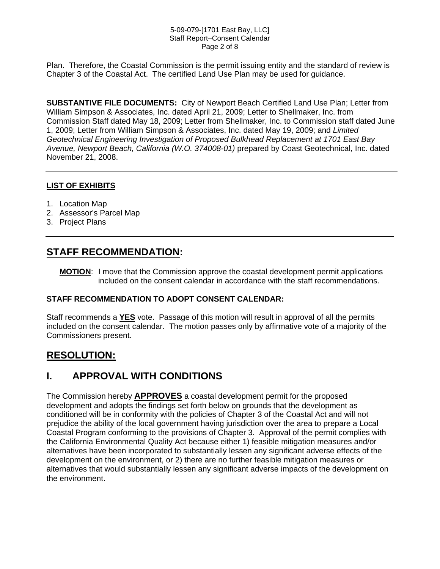#### 5-09-079-[1701 East Bay, LLC] Staff Report–Consent Calendar Page 2 of 8

Plan. Therefore, the Coastal Commission is the permit issuing entity and the standard of review is Chapter 3 of the Coastal Act. The certified Land Use Plan may be used for guidance.

**SUBSTANTIVE FILE DOCUMENTS:** City of Newport Beach Certified Land Use Plan; Letter from William Simpson & Associates, Inc. dated April 21, 2009; Letter to Shellmaker, Inc. from Commission Staff dated May 18, 2009; Letter from Shellmaker, Inc. to Commission staff dated June 1, 2009; Letter from William Simpson & Associates, Inc. dated May 19, 2009; and *Limited Geotechnical Engineering Investigation of Proposed Bulkhead Replacement at 1701 East Bay Avenue, Newport Beach, California (W.O. 374008-01)* prepared by Coast Geotechnical, Inc. dated November 21, 2008.

## **LIST OF EXHIBITS**

- 1. Location Map
- 2. Assessor's Parcel Map
- 3. Project Plans

## **STAFF RECOMMENDATION:**

**MOTION**: I move that the Commission approve the coastal development permit applications included on the consent calendar in accordance with the staff recommendations.

### **STAFF RECOMMENDATION TO ADOPT CONSENT CALENDAR:**

Staff recommends a **YES** vote. Passage of this motion will result in approval of all the permits included on the consent calendar. The motion passes only by affirmative vote of a majority of the Commissioners present.

## **RESOLUTION:**

## **I. APPROVAL WITH CONDITIONS**

The Commission hereby **APPROVES** a coastal development permit for the proposed development and adopts the findings set forth below on grounds that the development as conditioned will be in conformity with the policies of Chapter 3 of the Coastal Act and will not prejudice the ability of the local government having jurisdiction over the area to prepare a Local Coastal Program conforming to the provisions of Chapter 3. Approval of the permit complies with the California Environmental Quality Act because either 1) feasible mitigation measures and/or alternatives have been incorporated to substantially lessen any significant adverse effects of the development on the environment, or 2) there are no further feasible mitigation measures or alternatives that would substantially lessen any significant adverse impacts of the development on the environment.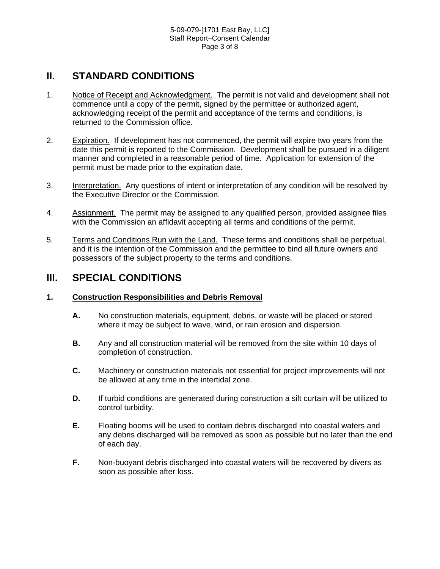## **II. STANDARD CONDITIONS**

- 1. Notice of Receipt and Acknowledgment. The permit is not valid and development shall not commence until a copy of the permit, signed by the permittee or authorized agent, acknowledging receipt of the permit and acceptance of the terms and conditions, is returned to the Commission office.
- 2. Expiration. If development has not commenced, the permit will expire two years from the date this permit is reported to the Commission. Development shall be pursued in a diligent manner and completed in a reasonable period of time. Application for extension of the permit must be made prior to the expiration date.
- 3. Interpretation. Any questions of intent or interpretation of any condition will be resolved by the Executive Director or the Commission.
- 4. Assignment. The permit may be assigned to any qualified person, provided assignee files with the Commission an affidavit accepting all terms and conditions of the permit.
- 5. Terms and Conditions Run with the Land. These terms and conditions shall be perpetual, and it is the intention of the Commission and the permittee to bind all future owners and possessors of the subject property to the terms and conditions.

## **III. SPECIAL CONDITIONS**

### **1. Construction Responsibilities and Debris Removal**

- **A.** No construction materials, equipment, debris, or waste will be placed or stored where it may be subject to wave, wind, or rain erosion and dispersion.
- **B.** Any and all construction material will be removed from the site within 10 days of completion of construction.
- **C.** Machinery or construction materials not essential for project improvements will not be allowed at any time in the intertidal zone.
- **D.** If turbid conditions are generated during construction a silt curtain will be utilized to control turbidity.
- **E.** Floating booms will be used to contain debris discharged into coastal waters and any debris discharged will be removed as soon as possible but no later than the end of each day.
- **F.** Non-buoyant debris discharged into coastal waters will be recovered by divers as soon as possible after loss.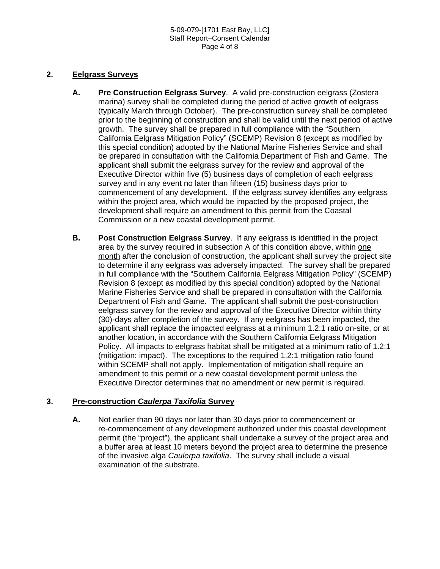### **2. Eelgrass Surveys**

- **A. Pre Construction Eelgrass Survey**. A valid pre-construction eelgrass (Zostera marina) survey shall be completed during the period of active growth of eelgrass (typically March through October). The pre-construction survey shall be completed prior to the beginning of construction and shall be valid until the next period of active growth. The survey shall be prepared in full compliance with the "Southern California Eelgrass Mitigation Policy" (SCEMP) Revision 8 (except as modified by this special condition) adopted by the National Marine Fisheries Service and shall be prepared in consultation with the California Department of Fish and Game. The applicant shall submit the eelgrass survey for the review and approval of the Executive Director within five (5) business days of completion of each eelgrass survey and in any event no later than fifteen (15) business days prior to commencement of any development. If the eelgrass survey identifies any eelgrass within the project area, which would be impacted by the proposed project, the development shall require an amendment to this permit from the Coastal Commission or a new coastal development permit.
- **B. Post Construction Eelgrass Survey**. If any eelgrass is identified in the project area by the survey required in subsection A of this condition above, within one month after the conclusion of construction, the applicant shall survey the project site to determine if any eelgrass was adversely impacted. The survey shall be prepared in full compliance with the "Southern California Eelgrass Mitigation Policy" (SCEMP) Revision 8 (except as modified by this special condition) adopted by the National Marine Fisheries Service and shall be prepared in consultation with the California Department of Fish and Game. The applicant shall submit the post-construction eelgrass survey for the review and approval of the Executive Director within thirty (30)-days after completion of the survey. If any eelgrass has been impacted, the applicant shall replace the impacted eelgrass at a minimum 1.2:1 ratio on-site, or at another location, in accordance with the Southern California Eelgrass Mitigation Policy. All impacts to eelgrass habitat shall be mitigated at a minimum ratio of 1.2:1 (mitigation: impact). The exceptions to the required 1.2:1 mitigation ratio found within SCEMP shall not apply. Implementation of mitigation shall require an amendment to this permit or a new coastal development permit unless the Executive Director determines that no amendment or new permit is required.

## **3. Pre-construction** *Caulerpa Taxifolia* **Survey**

**A.** Not earlier than 90 days nor later than 30 days prior to commencement or re-commencement of any development authorized under this coastal development permit (the "project"), the applicant shall undertake a survey of the project area and a buffer area at least 10 meters beyond the project area to determine the presence of the invasive alga *Caulerpa taxifolia*. The survey shall include a visual examination of the substrate.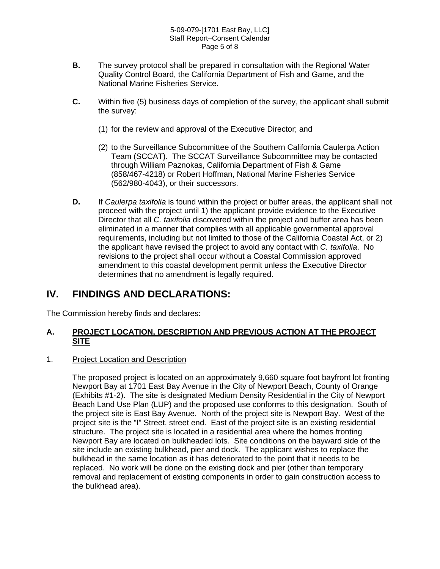#### 5-09-079-[1701 East Bay, LLC] Staff Report–Consent Calendar Page 5 of 8

- **B.** The survey protocol shall be prepared in consultation with the Regional Water Quality Control Board, the California Department of Fish and Game, and the National Marine Fisheries Service.
- **C.** Within five (5) business days of completion of the survey, the applicant shall submit the survey:
	- (1) for the review and approval of the Executive Director; and
	- (2) to the Surveillance Subcommittee of the Southern California Caulerpa Action Team (SCCAT). The SCCAT Surveillance Subcommittee may be contacted through William Paznokas, California Department of Fish & Game (858/467-4218) or Robert Hoffman, National Marine Fisheries Service (562/980-4043), or their successors.
- **D.** If *Caulerpa taxifolia* is found within the project or buffer areas, the applicant shall not proceed with the project until 1) the applicant provide evidence to the Executive Director that all *C. taxifolia* discovered within the project and buffer area has been eliminated in a manner that complies with all applicable governmental approval requirements, including but not limited to those of the California Coastal Act, or 2) the applicant have revised the project to avoid any contact with *C. taxifolia*. No revisions to the project shall occur without a Coastal Commission approved amendment to this coastal development permit unless the Executive Director determines that no amendment is legally required.

## **IV. FINDINGS AND DECLARATIONS:**

The Commission hereby finds and declares:

## **A. PROJECT LOCATION, DESCRIPTION AND PREVIOUS ACTION AT THE PROJECT SITE**

### 1. Project Location and Description

The proposed project is located on an approximately 9,660 square foot bayfront lot fronting Newport Bay at 1701 East Bay Avenue in the City of Newport Beach, County of Orange (Exhibits #1-2). The site is designated Medium Density Residential in the City of Newport Beach Land Use Plan (LUP) and the proposed use conforms to this designation. South of the project site is East Bay Avenue. North of the project site is Newport Bay. West of the project site is the "I" Street, street end. East of the project site is an existing residential structure. The project site is located in a residential area where the homes fronting Newport Bay are located on bulkheaded lots. Site conditions on the bayward side of the site include an existing bulkhead, pier and dock. The applicant wishes to replace the bulkhead in the same location as it has deteriorated to the point that it needs to be replaced. No work will be done on the existing dock and pier (other than temporary removal and replacement of existing components in order to gain construction access to the bulkhead area).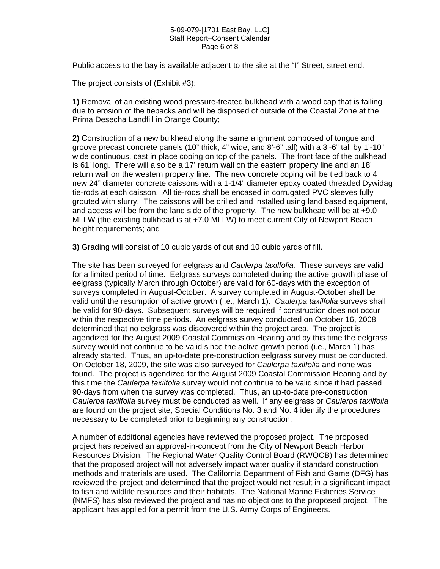#### 5-09-079-[1701 East Bay, LLC] Staff Report–Consent Calendar Page 6 of 8

Public access to the bay is available adjacent to the site at the "I" Street, street end.

The project consists of (Exhibit #3):

**1)** Removal of an existing wood pressure-treated bulkhead with a wood cap that is failing due to erosion of the tiebacks and will be disposed of outside of the Coastal Zone at the Prima Desecha Landfill in Orange County;

**2)** Construction of a new bulkhead along the same alignment composed of tongue and groove precast concrete panels (10" thick, 4" wide, and 8'-6" tall) with a 3'-6" tall by 1'-10" wide continuous, cast in place coping on top of the panels. The front face of the bulkhead is 61' long. There will also be a 17' return wall on the eastern property line and an 18' return wall on the western property line. The new concrete coping will be tied back to 4 new 24" diameter concrete caissons with a 1-1/4" diameter epoxy coated threaded Dywidag tie-rods at each caisson. All tie-rods shall be encased in corrugated PVC sleeves fully grouted with slurry. The caissons will be drilled and installed using land based equipment, and access will be from the land side of the property. The new bulkhead will be at +9.0 MLLW (the existing bulkhead is at +7.0 MLLW) to meet current City of Newport Beach height requirements; and

**3)** Grading will consist of 10 cubic yards of cut and 10 cubic yards of fill.

The site has been surveyed for eelgrass and *Caulerpa taxilfolia.* These surveys are valid for a limited period of time. Eelgrass surveys completed during the active growth phase of eelgrass (typically March through October) are valid for 60-days with the exception of surveys completed in August-October. A survey completed in August-October shall be valid until the resumption of active growth (i.e., March 1). *Caulerpa taxilfolia* surveys shall be valid for 90-days. Subsequent surveys will be required if construction does not occur within the respective time periods. An eelgrass survey conducted on October 16, 2008 determined that no eelgrass was discovered within the project area. The project is agendized for the August 2009 Coastal Commission Hearing and by this time the eelgrass survey would not continue to be valid since the active growth period (i.e., March 1) has already started. Thus, an up-to-date pre-construction eelgrass survey must be conducted. On October 18, 2009, the site was also surveyed for *Caulerpa taxilfolia* and none was found. The project is agendized for the August 2009 Coastal Commission Hearing and by this time the *Caulerpa taxilfolia* survey would not continue to be valid since it had passed 90-days from when the survey was completed. Thus, an up-to-date pre-construction *Caulerpa taxilfolia* survey must be conducted as well. If any eelgrass or *Caulerpa taxilfolia* are found on the project site, Special Conditions No. 3 and No. 4 identify the procedures necessary to be completed prior to beginning any construction.

A number of additional agencies have reviewed the proposed project. The proposed project has received an approval-in-concept from the City of Newport Beach Harbor Resources Division. The Regional Water Quality Control Board (RWQCB) has determined that the proposed project will not adversely impact water quality if standard construction methods and materials are used. The California Department of Fish and Game (DFG) has reviewed the project and determined that the project would not result in a significant impact to fish and wildlife resources and their habitats. The National Marine Fisheries Service (NMFS) has also reviewed the project and has no objections to the proposed project. The applicant has applied for a permit from the U.S. Army Corps of Engineers.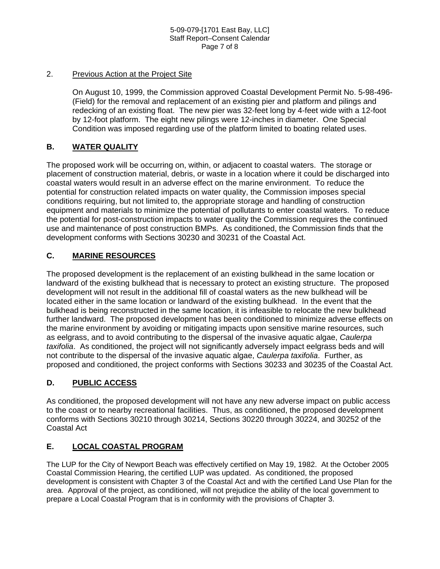#### 5-09-079-[1701 East Bay, LLC] Staff Report–Consent Calendar Page 7 of 8

### 2. Previous Action at the Project Site

On August 10, 1999, the Commission approved Coastal Development Permit No. 5-98-496- (Field) for the removal and replacement of an existing pier and platform and pilings and redecking of an existing float. The new pier was 32-feet long by 4-feet wide with a 12-foot by 12-foot platform. The eight new pilings were 12-inches in diameter. One Special Condition was imposed regarding use of the platform limited to boating related uses.

## **B. WATER QUALITY**

The proposed work will be occurring on, within, or adjacent to coastal waters. The storage or placement of construction material, debris, or waste in a location where it could be discharged into coastal waters would result in an adverse effect on the marine environment. To reduce the potential for construction related impacts on water quality, the Commission imposes special conditions requiring, but not limited to, the appropriate storage and handling of construction equipment and materials to minimize the potential of pollutants to enter coastal waters. To reduce the potential for post-construction impacts to water quality the Commission requires the continued use and maintenance of post construction BMPs. As conditioned, the Commission finds that the development conforms with Sections 30230 and 30231 of the Coastal Act.

## **C. MARINE RESOURCES**

The proposed development is the replacement of an existing bulkhead in the same location or landward of the existing bulkhead that is necessary to protect an existing structure. The proposed development will not result in the additional fill of coastal waters as the new bulkhead will be located either in the same location or landward of the existing bulkhead. In the event that the bulkhead is being reconstructed in the same location, it is infeasible to relocate the new bulkhead further landward. The proposed development has been conditioned to minimize adverse effects on the marine environment by avoiding or mitigating impacts upon sensitive marine resources, such as eelgrass, and to avoid contributing to the dispersal of the invasive aquatic algae, *Caulerpa taxifolia*. As conditioned, the project will not significantly adversely impact eelgrass beds and will not contribute to the dispersal of the invasive aquatic algae, *Caulerpa taxifolia*. Further, as proposed and conditioned, the project conforms with Sections 30233 and 30235 of the Coastal Act.

## **D. PUBLIC ACCESS**

As conditioned, the proposed development will not have any new adverse impact on public access to the coast or to nearby recreational facilities. Thus, as conditioned, the proposed development conforms with Sections 30210 through 30214, Sections 30220 through 30224, and 30252 of the Coastal Act

## **E. LOCAL COASTAL PROGRAM**

The LUP for the City of Newport Beach was effectively certified on May 19, 1982. At the October 2005 Coastal Commission Hearing, the certified LUP was updated. As conditioned, the proposed development is consistent with Chapter 3 of the Coastal Act and with the certified Land Use Plan for the area. Approval of the project, as conditioned, will not prejudice the ability of the local government to prepare a Local Coastal Program that is in conformity with the provisions of Chapter 3.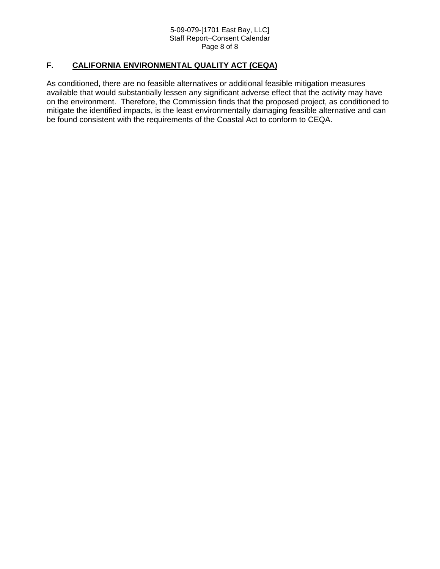#### 5-09-079-[1701 East Bay, LLC] Staff Report–Consent Calendar Page 8 of 8

## **F. CALIFORNIA ENVIRONMENTAL QUALITY ACT (CEQA)**

As conditioned, there are no feasible alternatives or additional feasible mitigation measures available that would substantially lessen any significant adverse effect that the activity may have on the environment. Therefore, the Commission finds that the proposed project, as conditioned to mitigate the identified impacts, is the least environmentally damaging feasible alternative and can be found consistent with the requirements of the Coastal Act to conform to CEQA.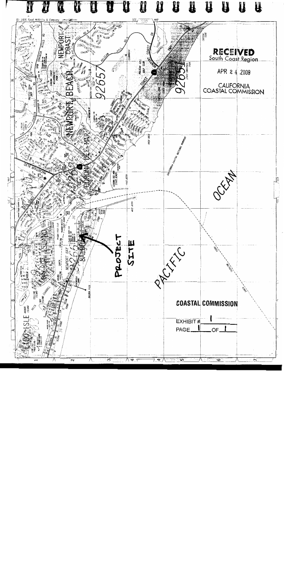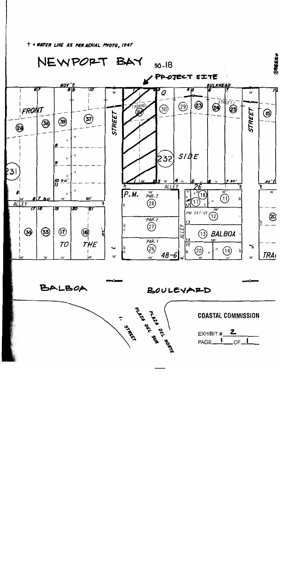$+$  = WATER LINE AS PER AERIAL PHOTO, 1947



**Printer** B<sup>EL</sup> HORTER RESERVED AT A STREET AND RESERVED AT A PROPERTY AND RESERVED AT A PROPERTY AT A PROPERTY AT A PROPERTY AND RESERVED AT A PROPERTY AND RESERVED AND RESERVED AT A PROPERTY AND RESPONDING A PROPERTY AS

BALBOA

BOULEVARD



EXHIBIT  $\#$  2 PAGE<sub>1</sub>  $OC<sub>-</sub>$